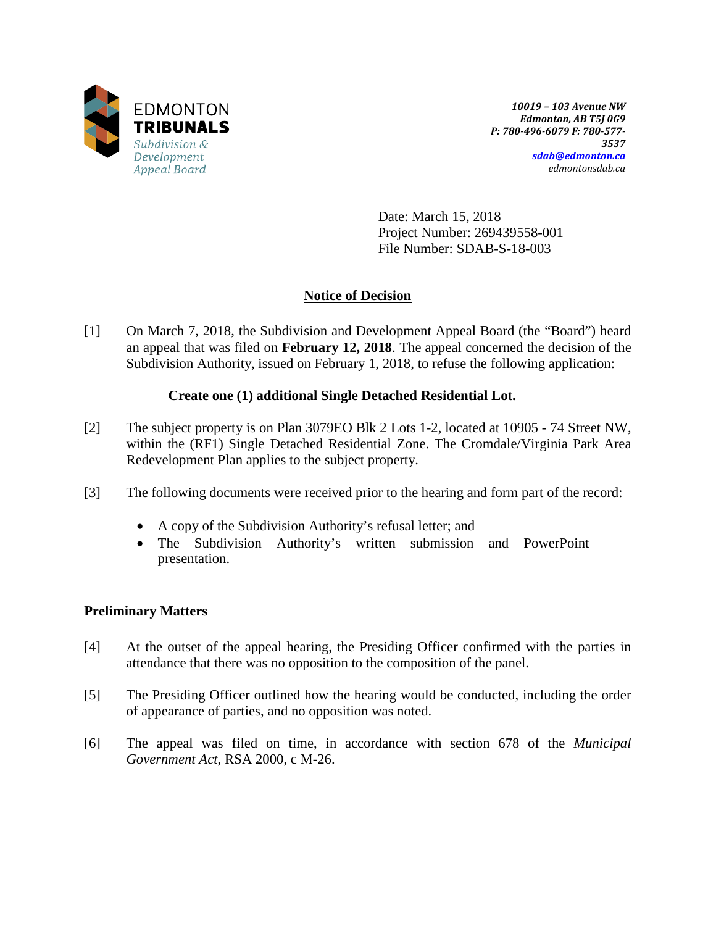

*10019 – 103 Avenue NW Edmonton, AB T5J 0G9 P: 780-496-6079 F: 780-577- 3537 [sdab@edmonton.ca](mailto:sdab@edmonton.ca) edmontonsdab.ca*

Date: March 15, 2018 Project Number: 269439558-001 File Number: SDAB-S-18-003

# **Notice of Decision**

[1] On March 7, 2018, the Subdivision and Development Appeal Board (the "Board") heard an appeal that was filed on **February 12, 2018**. The appeal concerned the decision of the Subdivision Authority, issued on February 1, 2018, to refuse the following application:

## **Create one (1) additional Single Detached Residential Lot.**

- [2] The subject property is on Plan 3079EO Blk 2 Lots 1-2, located at 10905 74 Street NW, within the (RF1) Single Detached Residential Zone. The Cromdale/Virginia Park Area Redevelopment Plan applies to the subject property.
- [3] The following documents were received prior to the hearing and form part of the record:
	- A copy of the Subdivision Authority's refusal letter; and
	- The Subdivision Authority's written submission and PowerPoint presentation.

## **Preliminary Matters**

- [4] At the outset of the appeal hearing, the Presiding Officer confirmed with the parties in attendance that there was no opposition to the composition of the panel.
- [5] The Presiding Officer outlined how the hearing would be conducted, including the order of appearance of parties, and no opposition was noted.
- [6] The appeal was filed on time, in accordance with section 678 of the *Municipal Government Act*, RSA 2000, c M-26.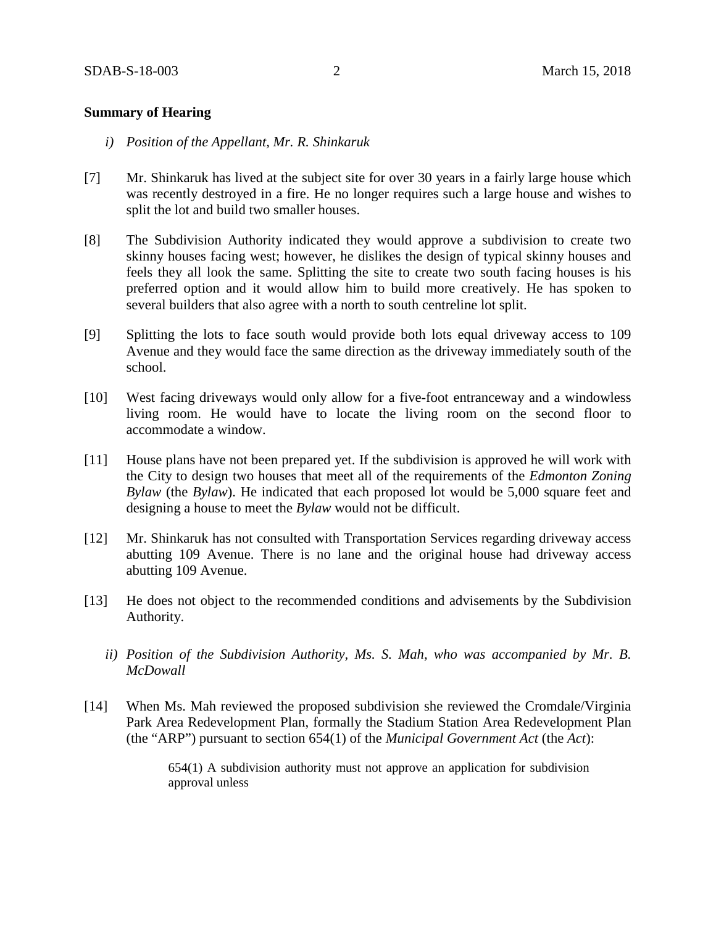### **Summary of Hearing**

- *i) Position of the Appellant, Mr. R. Shinkaruk*
- [7] Mr. Shinkaruk has lived at the subject site for over 30 years in a fairly large house which was recently destroyed in a fire. He no longer requires such a large house and wishes to split the lot and build two smaller houses.
- [8] The Subdivision Authority indicated they would approve a subdivision to create two skinny houses facing west; however, he dislikes the design of typical skinny houses and feels they all look the same. Splitting the site to create two south facing houses is his preferred option and it would allow him to build more creatively. He has spoken to several builders that also agree with a north to south centreline lot split.
- [9] Splitting the lots to face south would provide both lots equal driveway access to 109 Avenue and they would face the same direction as the driveway immediately south of the school.
- [10] West facing driveways would only allow for a five-foot entranceway and a windowless living room. He would have to locate the living room on the second floor to accommodate a window.
- [11] House plans have not been prepared yet. If the subdivision is approved he will work with the City to design two houses that meet all of the requirements of the *Edmonton Zoning Bylaw* (the *Bylaw*). He indicated that each proposed lot would be 5,000 square feet and designing a house to meet the *Bylaw* would not be difficult.
- [12] Mr. Shinkaruk has not consulted with Transportation Services regarding driveway access abutting 109 Avenue. There is no lane and the original house had driveway access abutting 109 Avenue.
- [13] He does not object to the recommended conditions and advisements by the Subdivision Authority.
	- *ii) Position of the Subdivision Authority, Ms. S. Mah, who was accompanied by Mr. B. McDowall*
- [14] When Ms. Mah reviewed the proposed subdivision she reviewed the Cromdale/Virginia Park Area Redevelopment Plan, formally the Stadium Station Area Redevelopment Plan (the "ARP") pursuant to section 654(1) of the *Municipal Government Act* (the *Act*):

654(1) A subdivision authority must not approve an application for subdivision approval unless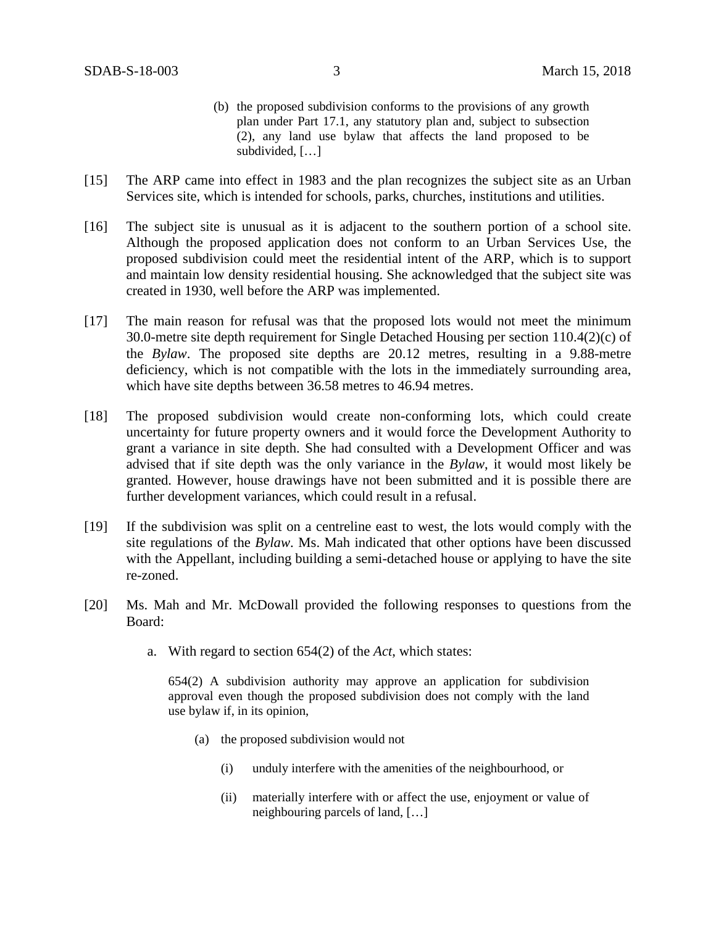- (b) the proposed subdivision conforms to the provisions of any growth plan under Part 17.1, any statutory plan and, subject to subsection (2), any land use bylaw that affects the land proposed to be subdivided, […]
- [15] The ARP came into effect in 1983 and the plan recognizes the subject site as an Urban Services site, which is intended for schools, parks, churches, institutions and utilities.
- [16] The subject site is unusual as it is adjacent to the southern portion of a school site. Although the proposed application does not conform to an Urban Services Use, the proposed subdivision could meet the residential intent of the ARP, which is to support and maintain low density residential housing. She acknowledged that the subject site was created in 1930, well before the ARP was implemented.
- [17] The main reason for refusal was that the proposed lots would not meet the minimum 30.0-metre site depth requirement for Single Detached Housing per section 110.4(2)(c) of the *Bylaw*. The proposed site depths are 20.12 metres, resulting in a 9.88-metre deficiency, which is not compatible with the lots in the immediately surrounding area, which have site depths between 36.58 metres to 46.94 metres.
- [18] The proposed subdivision would create non-conforming lots, which could create uncertainty for future property owners and it would force the Development Authority to grant a variance in site depth. She had consulted with a Development Officer and was advised that if site depth was the only variance in the *Bylaw*, it would most likely be granted. However, house drawings have not been submitted and it is possible there are further development variances, which could result in a refusal.
- [19] If the subdivision was split on a centreline east to west, the lots would comply with the site regulations of the *Bylaw*. Ms. Mah indicated that other options have been discussed with the Appellant, including building a semi-detached house or applying to have the site re-zoned.
- [20] Ms. Mah and Mr. McDowall provided the following responses to questions from the Board:
	- a. With regard to section 654(2) of the *Act*, which states:

654(2) A subdivision authority may approve an application for subdivision approval even though the proposed subdivision does not comply with the land use bylaw if, in its opinion,

- (a) the proposed subdivision would not
	- (i) unduly interfere with the amenities of the neighbourhood, or
	- (ii) materially interfere with or affect the use, enjoyment or value of neighbouring parcels of land, […]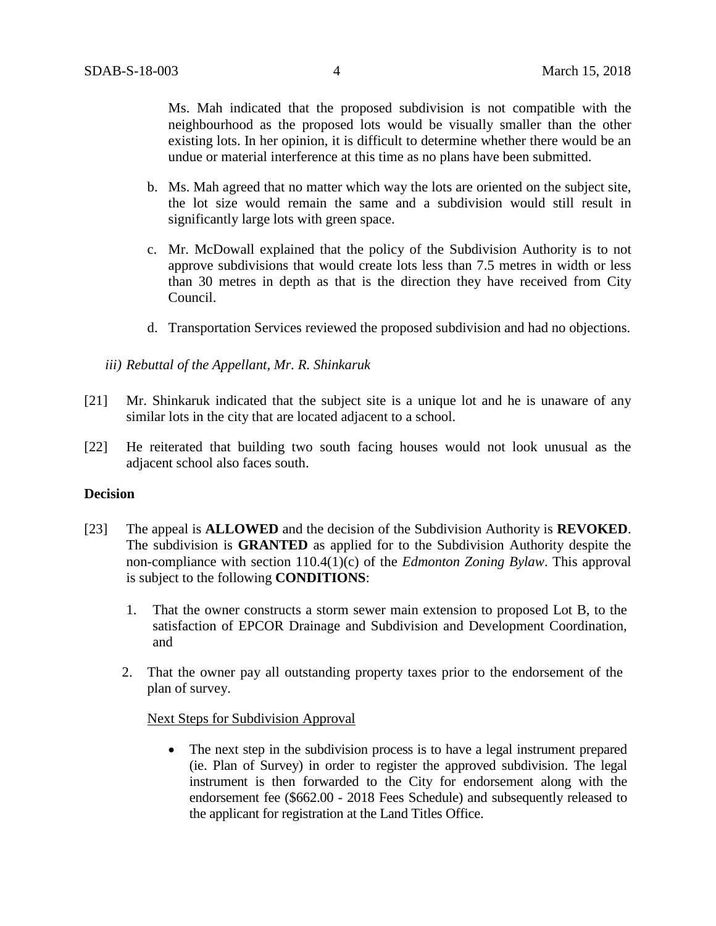Ms. Mah indicated that the proposed subdivision is not compatible with the neighbourhood as the proposed lots would be visually smaller than the other existing lots. In her opinion, it is difficult to determine whether there would be an undue or material interference at this time as no plans have been submitted.

- b. Ms. Mah agreed that no matter which way the lots are oriented on the subject site, the lot size would remain the same and a subdivision would still result in significantly large lots with green space.
- c. Mr. McDowall explained that the policy of the Subdivision Authority is to not approve subdivisions that would create lots less than 7.5 metres in width or less than 30 metres in depth as that is the direction they have received from City Council.
- d. Transportation Services reviewed the proposed subdivision and had no objections.
- *iii) Rebuttal of the Appellant, Mr. R. Shinkaruk*
- [21] Mr. Shinkaruk indicated that the subject site is a unique lot and he is unaware of any similar lots in the city that are located adjacent to a school.
- [22] He reiterated that building two south facing houses would not look unusual as the adjacent school also faces south.

### **Decision**

- [23] The appeal is **ALLOWED** and the decision of the Subdivision Authority is **REVOKED**. The subdivision is **GRANTED** as applied for to the Subdivision Authority despite the non-compliance with section 110.4(1)(c) of the *Edmonton Zoning Bylaw*. This approval is subject to the following **CONDITIONS**:
	- 1. That the owner constructs a storm sewer main extension to proposed Lot B, to the satisfaction of EPCOR Drainage and Subdivision and Development Coordination, and
	- 2. That the owner pay all outstanding property taxes prior to the endorsement of the plan of survey.

#### Next Steps for Subdivision Approval

• The next step in the subdivision process is to have a legal instrument prepared (ie. Plan of Survey) in order to register the approved subdivision. The legal instrument is then forwarded to the City for endorsement along with the endorsement fee (\$662.00 - 2018 Fees Schedule) and subsequently released to the applicant for registration at the Land Titles Office.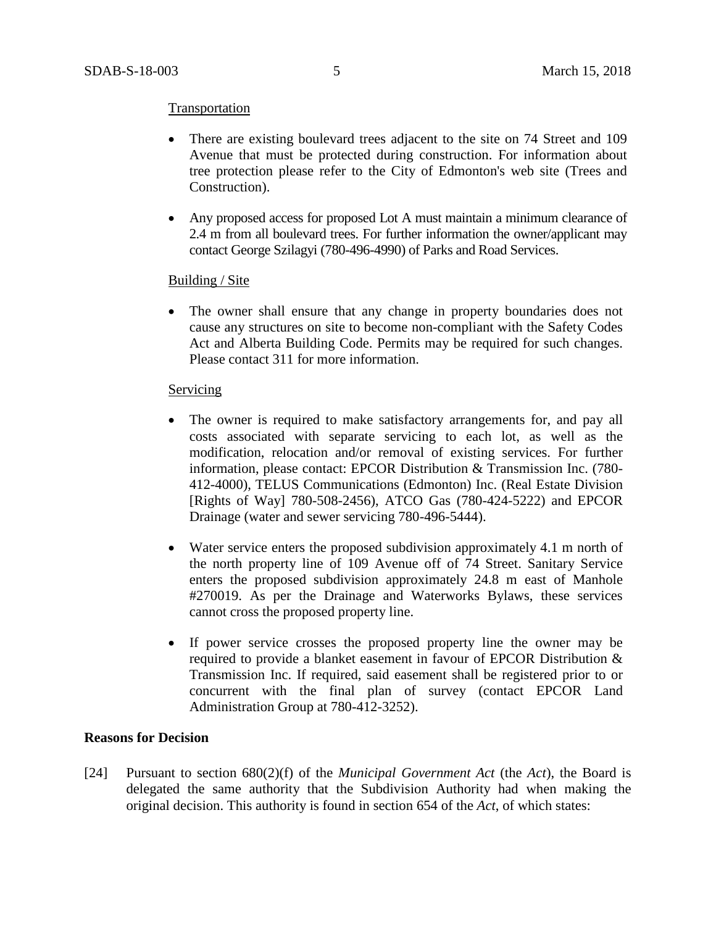### **Transportation**

- There are existing boulevard trees adjacent to the site on 74 Street and 109 Avenue that must be protected during construction. For information about tree protection please refer to the City of Edmonton's web site (Trees and Construction).
- Any proposed access for proposed Lot A must maintain a minimum clearance of 2.4 m from all boulevard trees. For further information the owner/applicant may contact George Szilagyi (780-496-4990) of Parks and Road Services.

#### Building / Site

• The owner shall ensure that any change in property boundaries does not cause any structures on site to become non-compliant with the Safety Codes Act and Alberta Building Code. Permits may be required for such changes. Please contact 311 for more information.

#### Servicing

- The owner is required to make satisfactory arrangements for, and pay all costs associated with separate servicing to each lot, as well as the modification, relocation and/or removal of existing services. For further information, please contact: EPCOR Distribution & Transmission Inc. (780- 412-4000), TELUS Communications (Edmonton) Inc. (Real Estate Division [Rights of Way] 780-508-2456), ATCO Gas (780-424-5222) and EPCOR Drainage (water and sewer servicing 780-496-5444).
- Water service enters the proposed subdivision approximately 4.1 m north of the north property line of 109 Avenue off of 74 Street. Sanitary Service enters the proposed subdivision approximately 24.8 m east of Manhole #270019. As per the Drainage and Waterworks Bylaws, these services cannot cross the proposed property line.
- If power service crosses the proposed property line the owner may be required to provide a blanket easement in favour of EPCOR Distribution & Transmission Inc. If required, said easement shall be registered prior to or concurrent with the final plan of survey (contact EPCOR Land Administration Group at 780-412-3252).

### **Reasons for Decision**

[24] Pursuant to section 680(2)(f) of the *Municipal Government Act* (the *Act*), the Board is delegated the same authority that the Subdivision Authority had when making the original decision. This authority is found in section 654 of the *Act*, of which states: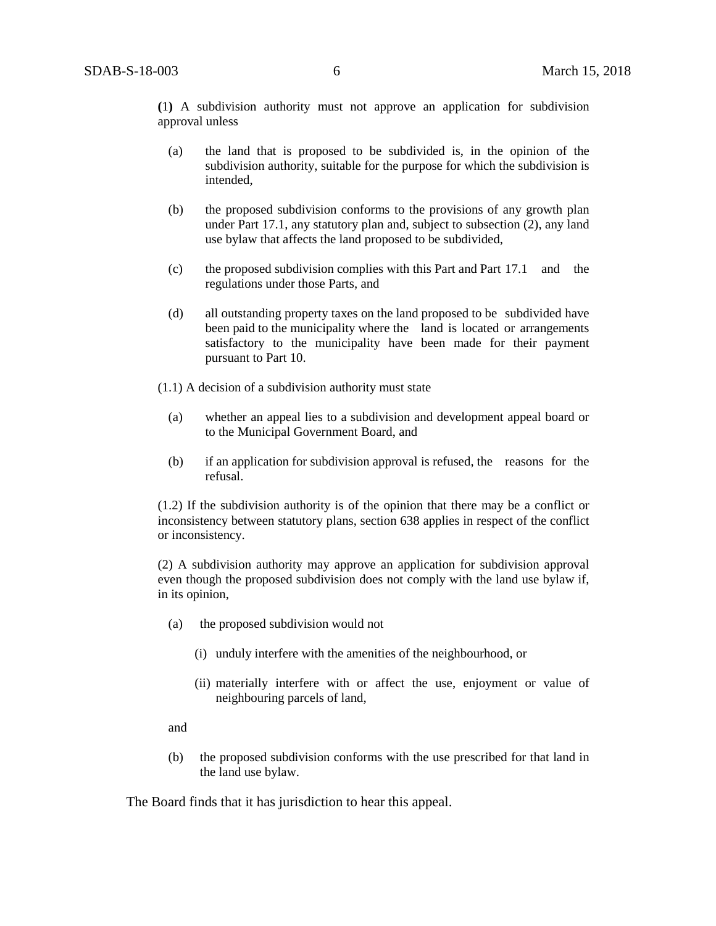**(**1**)** A subdivision authority must not approve an application for subdivision approval unless

- (a) the land that is proposed to be subdivided is, in the opinion of the subdivision authority, suitable for the purpose for which the subdivision is intended,
- (b) the proposed subdivision conforms to the provisions of any growth plan under Part 17.1, any statutory plan and, subject to subsection (2), any land use bylaw that affects the land proposed to be subdivided,
- (c) the proposed subdivision complies with this Part and Part 17.1 and the regulations under those Parts, and
- (d) all outstanding property taxes on the land proposed to be subdivided have been paid to the municipality where the land is located or arrangements satisfactory to the municipality have been made for their payment pursuant to Part 10.
- (1.1) A decision of a subdivision authority must state
	- (a) whether an appeal lies to a subdivision and development appeal board or to the Municipal Government Board, and
	- (b) if an application for subdivision approval is refused, the reasons for the refusal.

(1.2) If the subdivision authority is of the opinion that there may be a conflict or inconsistency between statutory plans, section 638 applies in respect of the conflict or inconsistency.

(2) A subdivision authority may approve an application for subdivision approval even though the proposed subdivision does not comply with the land use bylaw if, in its opinion,

- (a) the proposed subdivision would not
	- (i) unduly interfere with the amenities of the neighbourhood, or
	- (ii) materially interfere with or affect the use, enjoyment or value of neighbouring parcels of land,

and

(b) the proposed subdivision conforms with the use prescribed for that land in the land use bylaw.

The Board finds that it has jurisdiction to hear this appeal.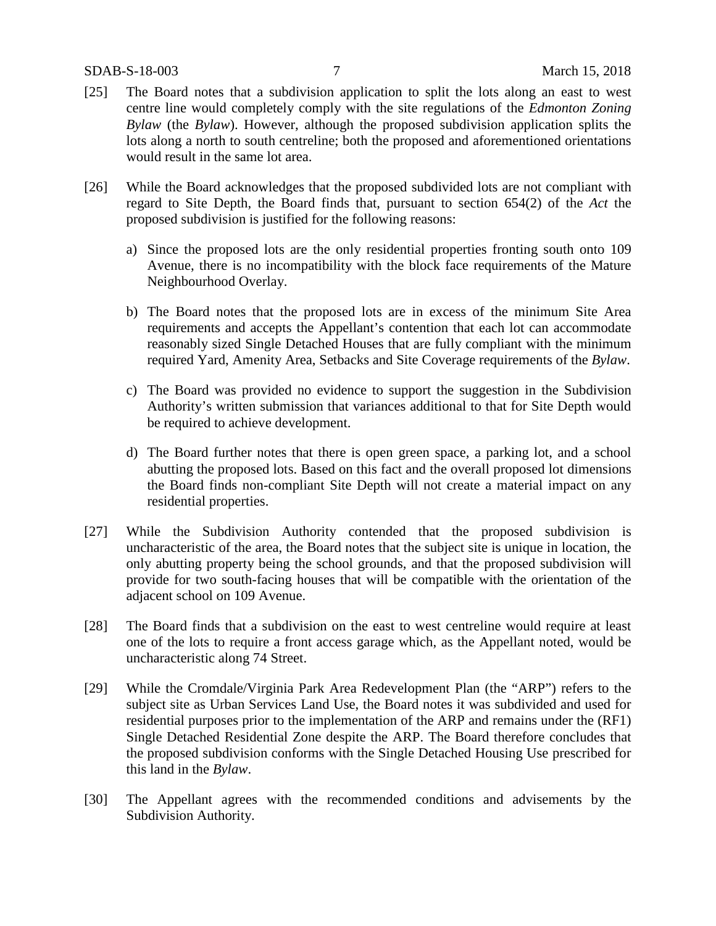- [25] The Board notes that a subdivision application to split the lots along an east to west centre line would completely comply with the site regulations of the *Edmonton Zoning Bylaw* (the *Bylaw*). However, although the proposed subdivision application splits the lots along a north to south centreline; both the proposed and aforementioned orientations would result in the same lot area.
- [26] While the Board acknowledges that the proposed subdivided lots are not compliant with regard to Site Depth, the Board finds that, pursuant to section 654(2) of the *Act* the proposed subdivision is justified for the following reasons:
	- a) Since the proposed lots are the only residential properties fronting south onto 109 Avenue, there is no incompatibility with the block face requirements of the Mature Neighbourhood Overlay.
	- b) The Board notes that the proposed lots are in excess of the minimum Site Area requirements and accepts the Appellant's contention that each lot can accommodate reasonably sized Single Detached Houses that are fully compliant with the minimum required Yard, Amenity Area, Setbacks and Site Coverage requirements of the *Bylaw*.
	- c) The Board was provided no evidence to support the suggestion in the Subdivision Authority's written submission that variances additional to that for Site Depth would be required to achieve development.
	- d) The Board further notes that there is open green space, a parking lot, and a school abutting the proposed lots. Based on this fact and the overall proposed lot dimensions the Board finds non-compliant Site Depth will not create a material impact on any residential properties.
- [27] While the Subdivision Authority contended that the proposed subdivision is uncharacteristic of the area, the Board notes that the subject site is unique in location, the only abutting property being the school grounds, and that the proposed subdivision will provide for two south-facing houses that will be compatible with the orientation of the adjacent school on 109 Avenue.
- [28] The Board finds that a subdivision on the east to west centreline would require at least one of the lots to require a front access garage which, as the Appellant noted, would be uncharacteristic along 74 Street.
- [29] While the Cromdale/Virginia Park Area Redevelopment Plan (the "ARP") refers to the subject site as Urban Services Land Use, the Board notes it was subdivided and used for residential purposes prior to the implementation of the ARP and remains under the (RF1) Single Detached Residential Zone despite the ARP. The Board therefore concludes that the proposed subdivision conforms with the Single Detached Housing Use prescribed for this land in the *Bylaw*.
- [30] The Appellant agrees with the recommended conditions and advisements by the Subdivision Authority.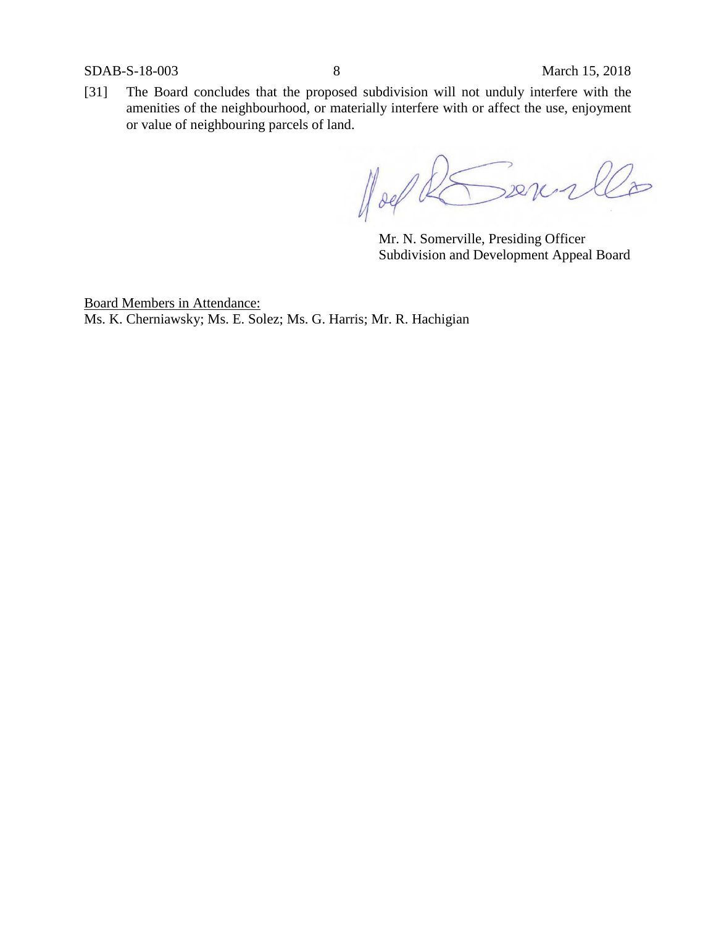SDAB-S-18-003 8 March 15, 2018

[31] The Board concludes that the proposed subdivision will not unduly interfere with the amenities of the neighbourhood, or materially interfere with or affect the use, enjoyment or value of neighbouring parcels of land.

 $1002$ Derer  $\overleftarrow{z}$ 

Mr. N. Somerville, Presiding Officer Subdivision and Development Appeal Board

Board Members in Attendance: Ms. K. Cherniawsky; Ms. E. Solez; Ms. G. Harris; Mr. R. Hachigian